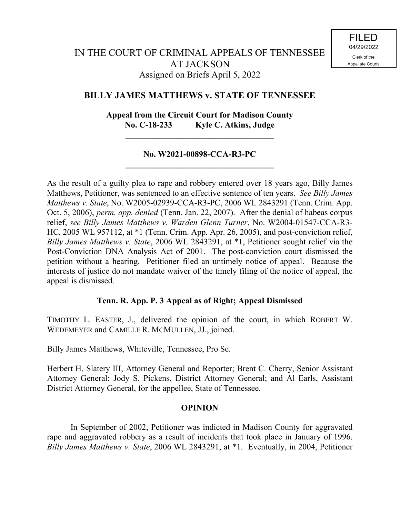## **BILLY JAMES MATTHEWS v. STATE OF TENNESSEE**

# **Appeal from the Circuit Court for Madison County No. C-18-233 Kyle C. Atkins, Judge**

**\_\_\_\_\_\_\_\_\_\_\_\_\_\_\_\_\_\_\_\_\_\_\_\_\_\_\_\_\_\_\_\_\_\_\_**

### **No. W2021-00898-CCA-R3-PC \_\_\_\_\_\_\_\_\_\_\_\_\_\_\_\_\_\_\_\_\_\_\_\_\_\_\_\_\_\_\_\_\_\_\_**

As the result of a guilty plea to rape and robbery entered over 18 years ago, Billy James Matthews, Petitioner, was sentenced to an effective sentence of ten years. *See Billy James Matthews v. State*, No. W2005-02939-CCA-R3-PC, 2006 WL 2843291 (Tenn. Crim. App. Oct. 5, 2006), *perm. app. denied* (Tenn. Jan. 22, 2007). After the denial of habeas corpus relief, *see Billy James Matthews v. Warden Glenn Turner*, No. W2004-01547-CCA-R3- HC, 2005 WL 957112, at \*1 (Tenn. Crim. App. Apr. 26, 2005), and post-conviction relief, *Billy James Matthews v. State*, 2006 WL 2843291, at \*1, Petitioner sought relief via the Post-Conviction DNA Analysis Act of 2001. The post-conviction court dismissed the petition without a hearing. Petitioner filed an untimely notice of appeal. Because the interests of justice do not mandate waiver of the timely filing of the notice of appeal, the appeal is dismissed.

## **Tenn. R. App. P. 3 Appeal as of Right; Appeal Dismissed**

TIMOTHY L. EASTER, J., delivered the opinion of the court, in which ROBERT W. WEDEMEYER and CAMILLE R. MCMULLEN, JJ., joined.

Billy James Matthews, Whiteville, Tennessee, Pro Se.

Herbert H. Slatery III, Attorney General and Reporter; Brent C. Cherry, Senior Assistant Attorney General; Jody S. Pickens, District Attorney General; and Al Earls, Assistant District Attorney General, for the appellee, State of Tennessee.

#### **OPINION**

In September of 2002, Petitioner was indicted in Madison County for aggravated rape and aggravated robbery as a result of incidents that took place in January of 1996. *Billy James Matthews v. State*, 2006 WL 2843291, at \*1. Eventually, in 2004, Petitioner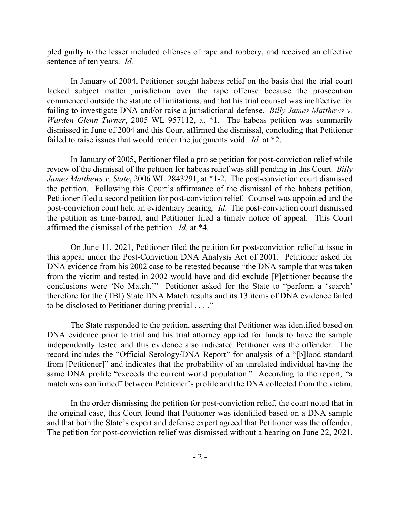pled guilty to the lesser included offenses of rape and robbery, and received an effective sentence of ten years. *Id.*

In January of 2004, Petitioner sought habeas relief on the basis that the trial court lacked subject matter jurisdiction over the rape offense because the prosecution commenced outside the statute of limitations, and that his trial counsel was ineffective for failing to investigate DNA and/or raise a jurisdictional defense. *Billy James Matthews v. Warden Glenn Turner*, 2005 WL 957112, at \*1. The habeas petition was summarily dismissed in June of 2004 and this Court affirmed the dismissal, concluding that Petitioner failed to raise issues that would render the judgments void. *Id.* at \*2.

In January of 2005, Petitioner filed a pro se petition for post-conviction relief while review of the dismissal of the petition for habeas relief was still pending in this Court. *Billy James Matthews v. State*, 2006 WL 2843291, at \*1-2. The post-conviction court dismissed the petition. Following this Court's affirmance of the dismissal of the habeas petition, Petitioner filed a second petition for post-conviction relief. Counsel was appointed and the post-conviction court held an evidentiary hearing. *Id.* The post-conviction court dismissed the petition as time-barred, and Petitioner filed a timely notice of appeal. This Court affirmed the dismissal of the petition. *Id.* at \*4.

On June 11, 2021, Petitioner filed the petition for post-conviction relief at issue in this appeal under the Post-Conviction DNA Analysis Act of 2001. Petitioner asked for DNA evidence from his 2002 case to be retested because "the DNA sample that was taken from the victim and tested in 2002 would have and did exclude [P]etitioner because the conclusions were 'No Match.'" Petitioner asked for the State to "perform a 'search' therefore for the (TBI) State DNA Match results and its 13 items of DNA evidence failed to be disclosed to Petitioner during pretrial . . . ."

The State responded to the petition, asserting that Petitioner was identified based on DNA evidence prior to trial and his trial attorney applied for funds to have the sample independently tested and this evidence also indicated Petitioner was the offender. The record includes the "Official Serology/DNA Report" for analysis of a "[b]lood standard from [Petitioner]" and indicates that the probability of an unrelated individual having the same DNA profile "exceeds the current world population." According to the report, "a match was confirmed" between Petitioner's profile and the DNA collected from the victim.

In the order dismissing the petition for post-conviction relief, the court noted that in the original case, this Court found that Petitioner was identified based on a DNA sample and that both the State's expert and defense expert agreed that Petitioner was the offender. The petition for post-conviction relief was dismissed without a hearing on June 22, 2021.